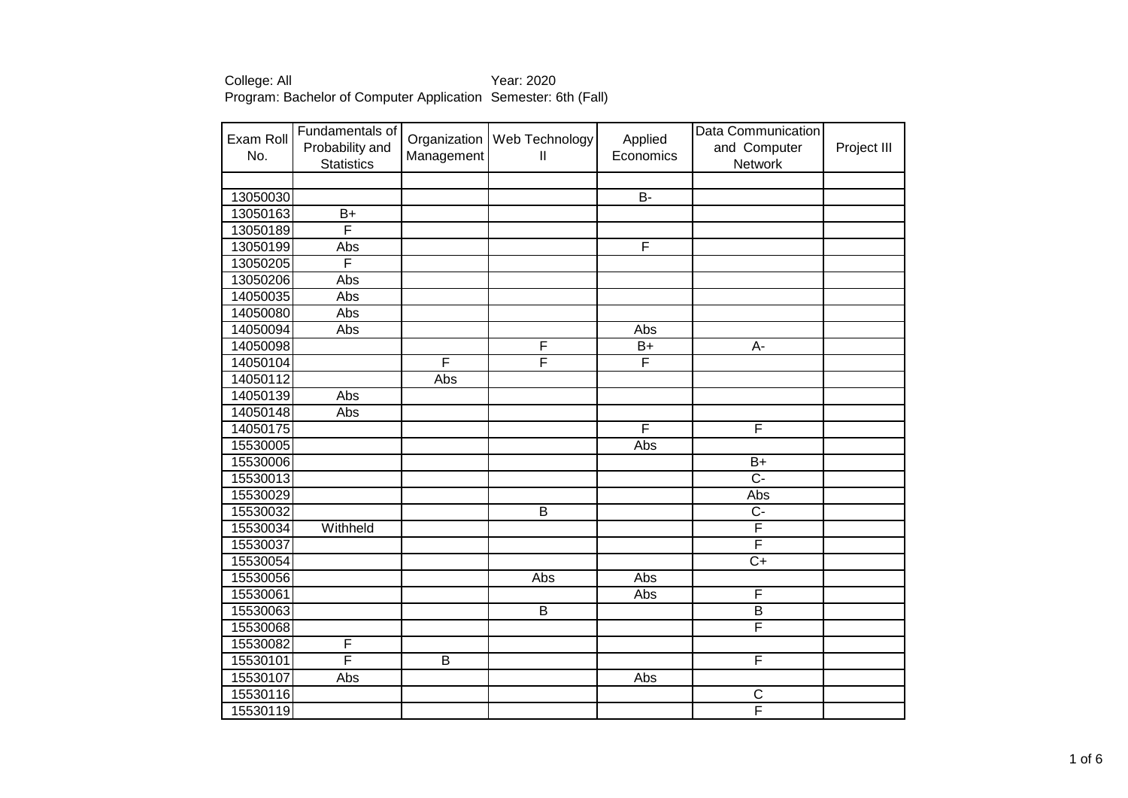| Exam Roll<br>No.     | Fundamentals of<br>Probability and<br><b>Statistics</b> | Management     | Organization   Web Technology<br>Ш | Applied<br>Economics | Data Communication<br>and Computer<br>Network | Project III |
|----------------------|---------------------------------------------------------|----------------|------------------------------------|----------------------|-----------------------------------------------|-------------|
|                      |                                                         |                |                                    | $\overline{B}$       |                                               |             |
| 13050030<br>13050163 | $B+$                                                    |                |                                    |                      |                                               |             |
| 13050189             | F                                                       |                |                                    |                      |                                               |             |
| 13050199             | Abs                                                     |                |                                    | F                    |                                               |             |
| 13050205             | F                                                       |                |                                    |                      |                                               |             |
| 13050206             | Abs                                                     |                |                                    |                      |                                               |             |
| 14050035             | Abs                                                     |                |                                    |                      |                                               |             |
| 14050080             | Abs                                                     |                |                                    |                      |                                               |             |
| 14050094             | Abs                                                     |                |                                    | Abs                  |                                               |             |
| 14050098             |                                                         |                | F                                  | $B+$                 | A-                                            |             |
| 14050104             |                                                         | F              | F                                  | F                    |                                               |             |
| 14050112             |                                                         | Abs            |                                    |                      |                                               |             |
| 14050139             | Abs                                                     |                |                                    |                      |                                               |             |
| 14050148             | Abs                                                     |                |                                    |                      |                                               |             |
| 14050175             |                                                         |                |                                    | F                    | F                                             |             |
| 15530005             |                                                         |                |                                    | Abs                  |                                               |             |
| 15530006             |                                                         |                |                                    |                      | $\overline{B+}$                               |             |
| 15530013             |                                                         |                |                                    |                      | $\overline{C}$                                |             |
| 15530029             |                                                         |                |                                    |                      | Abs                                           |             |
| 15530032             |                                                         |                | $\overline{B}$                     |                      | $\overline{C}$                                |             |
| 15530034             | Withheld                                                |                |                                    |                      | F                                             |             |
| 15530037             |                                                         |                |                                    |                      | F                                             |             |
| 15530054             |                                                         |                |                                    |                      | $C+$                                          |             |
| 15530056             |                                                         |                | Abs                                | Abs                  |                                               |             |
| 15530061             |                                                         |                |                                    | Abs                  | F                                             |             |
| 15530063             |                                                         |                | $\overline{B}$                     |                      | $\overline{B}$                                |             |
| 15530068             |                                                         |                |                                    |                      | F                                             |             |
| 15530082             | F                                                       |                |                                    |                      |                                               |             |
| 15530101             | F                                                       | $\overline{B}$ |                                    |                      | $\overline{F}$                                |             |
| 15530107             | Abs                                                     |                |                                    | Abs                  |                                               |             |
| 15530116             |                                                         |                |                                    |                      | $\overline{C}$                                |             |
| 15530119             |                                                         |                |                                    |                      | $\overline{\mathsf{F}}$                       |             |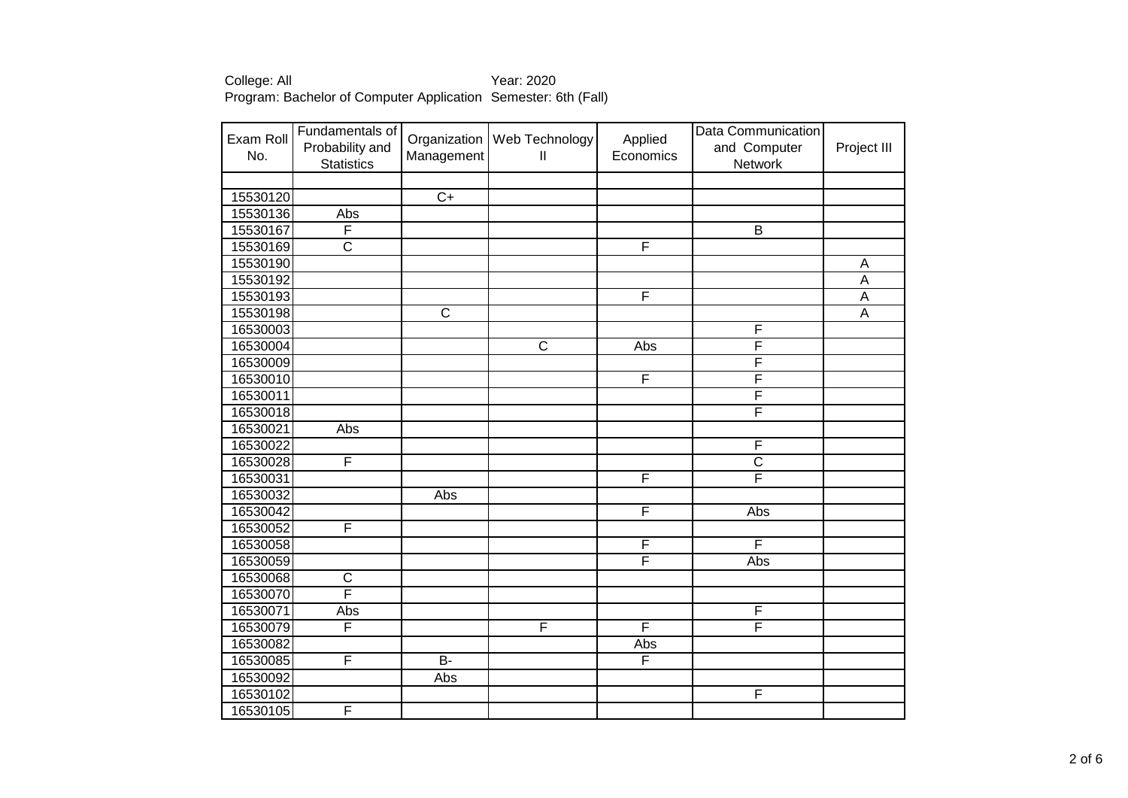| Exam Roll<br>No. | Fundamentals of<br>Probability and<br><b>Statistics</b> | Organization<br>Management | Web Technology<br>Ш   | Applied<br>Economics    | Data Communication<br>and Computer<br>Network | Project III    |
|------------------|---------------------------------------------------------|----------------------------|-----------------------|-------------------------|-----------------------------------------------|----------------|
|                  |                                                         |                            |                       |                         |                                               |                |
| 15530120         |                                                         | $\overline{C+}$            |                       |                         |                                               |                |
| 15530136         | Abs                                                     |                            |                       |                         |                                               |                |
| 15530167         | F                                                       |                            |                       |                         | $\overline{B}$                                |                |
| 15530169         | $\overline{\text{c}}$                                   |                            |                       | F                       |                                               |                |
| 15530190         |                                                         |                            |                       |                         |                                               | A              |
| 15530192         |                                                         |                            |                       |                         |                                               | A              |
| 15530193         |                                                         |                            |                       | F                       |                                               | A              |
| 15530198         |                                                         | $\overline{\text{c}}$      |                       |                         |                                               | $\overline{A}$ |
| 16530003         |                                                         |                            |                       |                         | F                                             |                |
| 16530004         |                                                         |                            | $\overline{\text{c}}$ | Abs                     | F                                             |                |
| 16530009         |                                                         |                            |                       |                         | F                                             |                |
| 16530010         |                                                         |                            |                       | F                       | F                                             |                |
| 16530011         |                                                         |                            |                       |                         | F                                             |                |
| 16530018         |                                                         |                            |                       |                         | F                                             |                |
| 16530021         | Abs                                                     |                            |                       |                         |                                               |                |
| 16530022         |                                                         |                            |                       |                         | F                                             |                |
| 16530028         | F                                                       |                            |                       |                         | $\overline{\mathsf{C}}$                       |                |
| 16530031         |                                                         |                            |                       | $\overline{\mathsf{F}}$ | F                                             |                |
| 16530032         |                                                         | Abs                        |                       |                         |                                               |                |
| 16530042         |                                                         |                            |                       | $\overline{\mathsf{F}}$ | Abs                                           |                |
| 16530052         | F                                                       |                            |                       |                         |                                               |                |
| 16530058         |                                                         |                            |                       | $\overline{\mathsf{F}}$ | $\overline{\mathsf{F}}$                       |                |
| 16530059         |                                                         |                            |                       | F                       | Abs                                           |                |
| 16530068         | $\overline{\text{c}}$                                   |                            |                       |                         |                                               |                |
| 16530070         | $\overline{\mathsf{F}}$                                 |                            |                       |                         |                                               |                |
| 16530071         | Abs                                                     |                            |                       |                         | F                                             |                |
| 16530079         | F                                                       |                            | F                     | $\overline{\mathsf{F}}$ | F                                             |                |
| 16530082         |                                                         |                            |                       | Abs                     |                                               |                |
| 16530085         | F                                                       | $\overline{B}$             |                       | $\overline{\mathsf{F}}$ |                                               |                |
| 16530092         |                                                         | Abs                        |                       |                         |                                               |                |
| 16530102         |                                                         |                            |                       |                         | $\overline{\mathsf{F}}$                       |                |
| 16530105         | F                                                       |                            |                       |                         |                                               |                |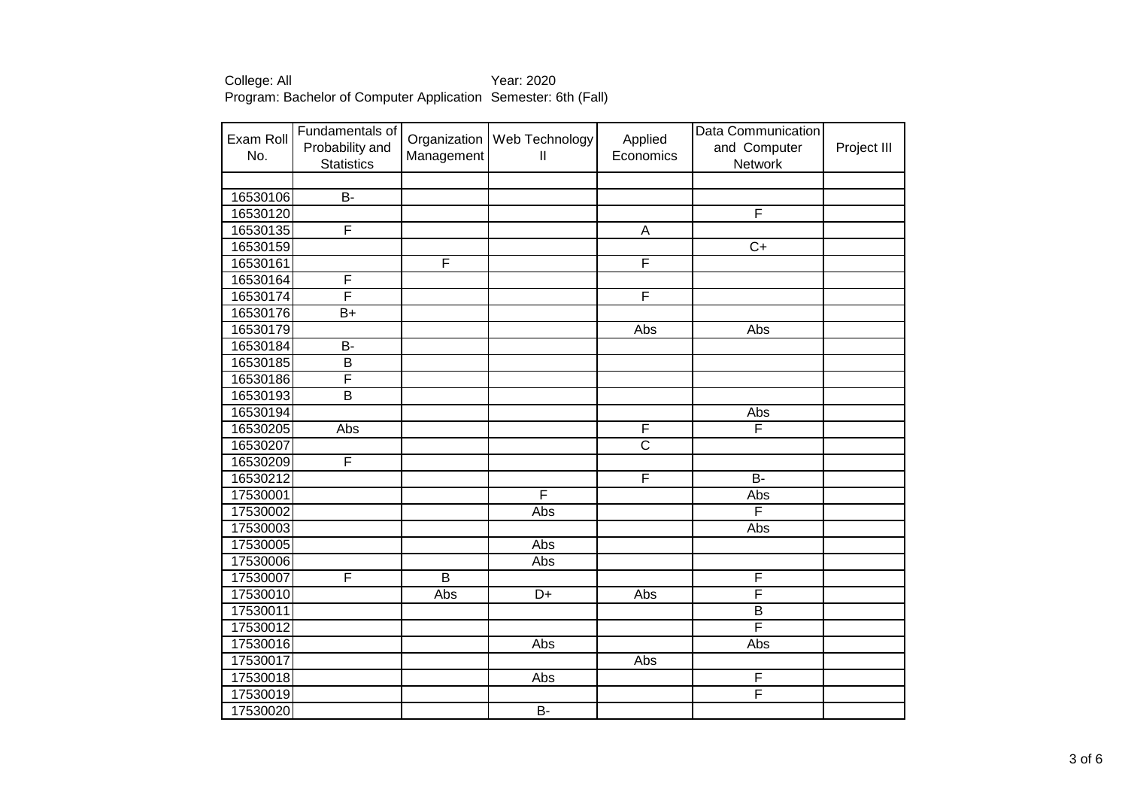| Exam Roll<br>No. | Fundamentals of<br>Probability and<br><b>Statistics</b> | Management     | Organization   Web Technology<br>$\mathsf{II}$ | Applied<br>Economics  | Data Communication<br>and Computer<br>Network | Project III |
|------------------|---------------------------------------------------------|----------------|------------------------------------------------|-----------------------|-----------------------------------------------|-------------|
| 16530106         | $\overline{B}$                                          |                |                                                |                       |                                               |             |
| 16530120         |                                                         |                |                                                |                       | $\overline{\mathsf{F}}$                       |             |
| 16530135         | F                                                       |                |                                                | $\overline{A}$        |                                               |             |
| 16530159         |                                                         |                |                                                |                       | $\overline{C+}$                               |             |
| 16530161         |                                                         | F              |                                                | F                     |                                               |             |
| 16530164         | F                                                       |                |                                                |                       |                                               |             |
| 16530174         | F                                                       |                |                                                | F                     |                                               |             |
| 16530176         | $\overline{B+}$                                         |                |                                                |                       |                                               |             |
| 16530179         |                                                         |                |                                                | Abs                   | Abs                                           |             |
| 16530184         | $\overline{B}$                                          |                |                                                |                       |                                               |             |
| 16530185         | $\overline{\mathsf{B}}$                                 |                |                                                |                       |                                               |             |
| 16530186         | F                                                       |                |                                                |                       |                                               |             |
| 16530193         | $\overline{\mathsf{B}}$                                 |                |                                                |                       |                                               |             |
| 16530194         |                                                         |                |                                                |                       | <b>Abs</b>                                    |             |
| 16530205         | Abs                                                     |                |                                                | F                     | F                                             |             |
| 16530207         |                                                         |                |                                                | $\overline{\text{c}}$ |                                               |             |
| 16530209         | F                                                       |                |                                                |                       |                                               |             |
| 16530212         |                                                         |                |                                                | $\overline{F}$        | $\overline{B}$                                |             |
| 17530001         |                                                         |                | F                                              |                       | Abs                                           |             |
| 17530002         |                                                         |                | Abs                                            |                       | F                                             |             |
| 17530003         |                                                         |                |                                                |                       | Abs                                           |             |
| 17530005         |                                                         |                | Abs                                            |                       |                                               |             |
| 17530006         |                                                         |                | Abs                                            |                       |                                               |             |
| 17530007         | F                                                       | $\overline{B}$ |                                                |                       | $\overline{F}$                                |             |
| 17530010         |                                                         | Abs            | $\overline{D+}$                                | Abs                   | $\overline{\mathsf{F}}$                       |             |
| 17530011         |                                                         |                |                                                |                       | $\overline{B}$                                |             |
| 17530012         |                                                         |                |                                                |                       | F                                             |             |
| 17530016         |                                                         |                | Abs                                            |                       | Abs                                           |             |
| 17530017         |                                                         |                |                                                | Abs                   |                                               |             |
| 17530018         |                                                         |                | Abs                                            |                       | $\overline{F}$<br>F                           |             |
| 17530019         |                                                         |                |                                                |                       |                                               |             |
| 17530020         |                                                         |                | $\overline{B}$                                 |                       |                                               |             |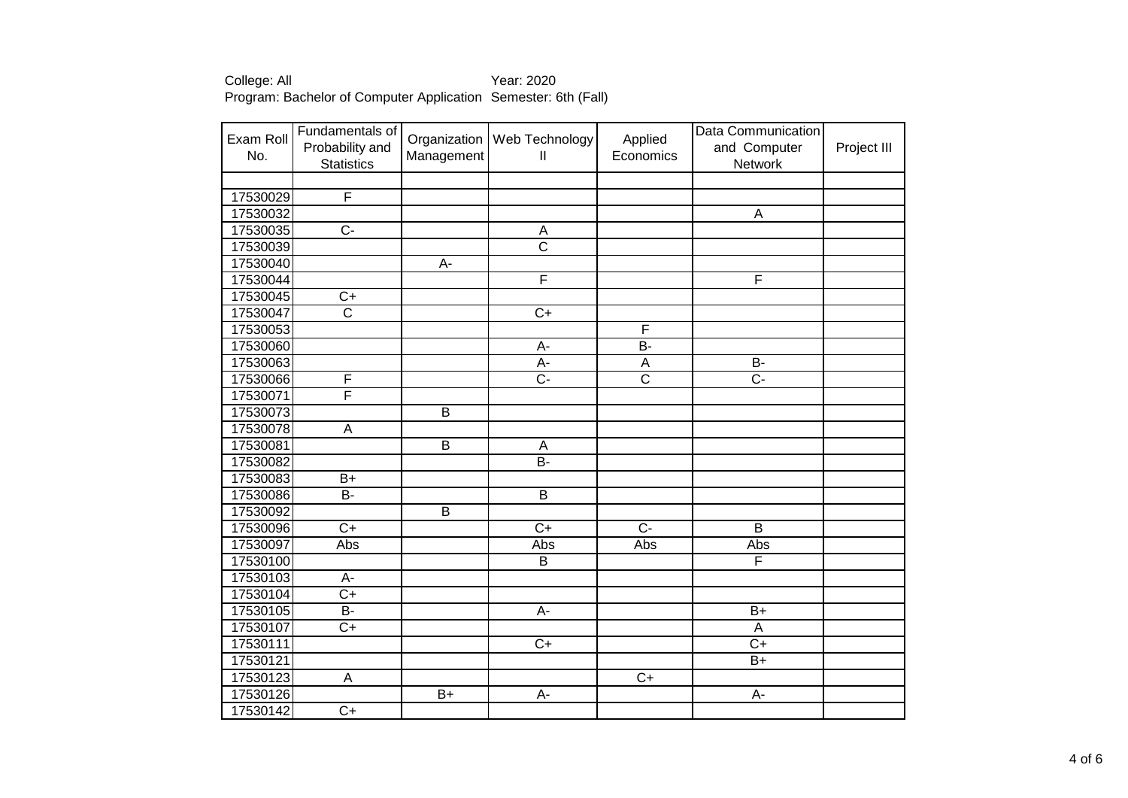| Exam Roll<br>No. | Fundamentals of<br>Probability and<br><b>Statistics</b> | Organization<br>Management | Web Technology<br>$\mathbf{I}$ | Applied<br>Economics  | Data Communication<br>and Computer<br>Network | Project III |
|------------------|---------------------------------------------------------|----------------------------|--------------------------------|-----------------------|-----------------------------------------------|-------------|
|                  |                                                         |                            |                                |                       |                                               |             |
| 17530029         | $\overline{\mathsf{F}}$                                 |                            |                                |                       |                                               |             |
| 17530032         |                                                         |                            |                                |                       | $\mathsf A$                                   |             |
| 17530035         | Ċ-                                                      |                            | A                              |                       |                                               |             |
| 17530039         |                                                         |                            | $\overline{\text{c}}$          |                       |                                               |             |
| 17530040         |                                                         | $\overline{A}$             |                                |                       |                                               |             |
| 17530044         |                                                         |                            | F                              |                       | F                                             |             |
| 17530045         | $\overline{C+}$                                         |                            |                                |                       |                                               |             |
| 17530047         | $\overline{\text{c}}$                                   |                            | $C+$                           |                       |                                               |             |
| 17530053         |                                                         |                            |                                | F                     |                                               |             |
| 17530060         |                                                         |                            | A-                             | <b>B-</b>             |                                               |             |
| 17530063         |                                                         |                            | $A -$                          | $\overline{A}$        | $\overline{B}$                                |             |
| 17530066         | F                                                       |                            | $\overline{C}$                 | $\overline{\text{c}}$ | $\overline{C}$                                |             |
| 17530071         | F                                                       |                            |                                |                       |                                               |             |
| 17530073         |                                                         | $\overline{B}$             |                                |                       |                                               |             |
| 17530078         | A                                                       |                            |                                |                       |                                               |             |
| 17530081         |                                                         | $\overline{B}$             | A                              |                       |                                               |             |
| 17530082         |                                                         |                            | $\overline{B}$ -               |                       |                                               |             |
| 17530083         | $B+$                                                    |                            |                                |                       |                                               |             |
| 17530086         | B-                                                      |                            | $\overline{B}$                 |                       |                                               |             |
| 17530092         |                                                         | $\overline{B}$             |                                |                       |                                               |             |
| 17530096         | $\overline{C}$                                          |                            | $\overline{C+}$                | $\overline{C}$        | $\overline{B}$                                |             |
| 17530097         | Abs                                                     |                            | Abs                            | Abs                   | Abs                                           |             |
| 17530100         |                                                         |                            | B                              |                       | F                                             |             |
| 17530103         | A-                                                      |                            |                                |                       |                                               |             |
| 17530104         | $\overline{C+}$                                         |                            |                                |                       |                                               |             |
| 17530105         | <b>B-</b>                                               |                            | А-                             |                       | $B+$                                          |             |
| 17530107         | $\overline{C+}$                                         |                            |                                |                       | A                                             |             |
| 17530111         |                                                         |                            | $\overline{C+}$                |                       | $C+$                                          |             |
| 17530121         |                                                         |                            |                                |                       | $B+$                                          |             |
| 17530123         | $\overline{A}$                                          |                            |                                | $\overline{C+}$       |                                               |             |
| 17530126         |                                                         | $\overline{B+}$            | A-                             |                       | A-                                            |             |
| 17530142         | $\overline{C+}$                                         |                            |                                |                       |                                               |             |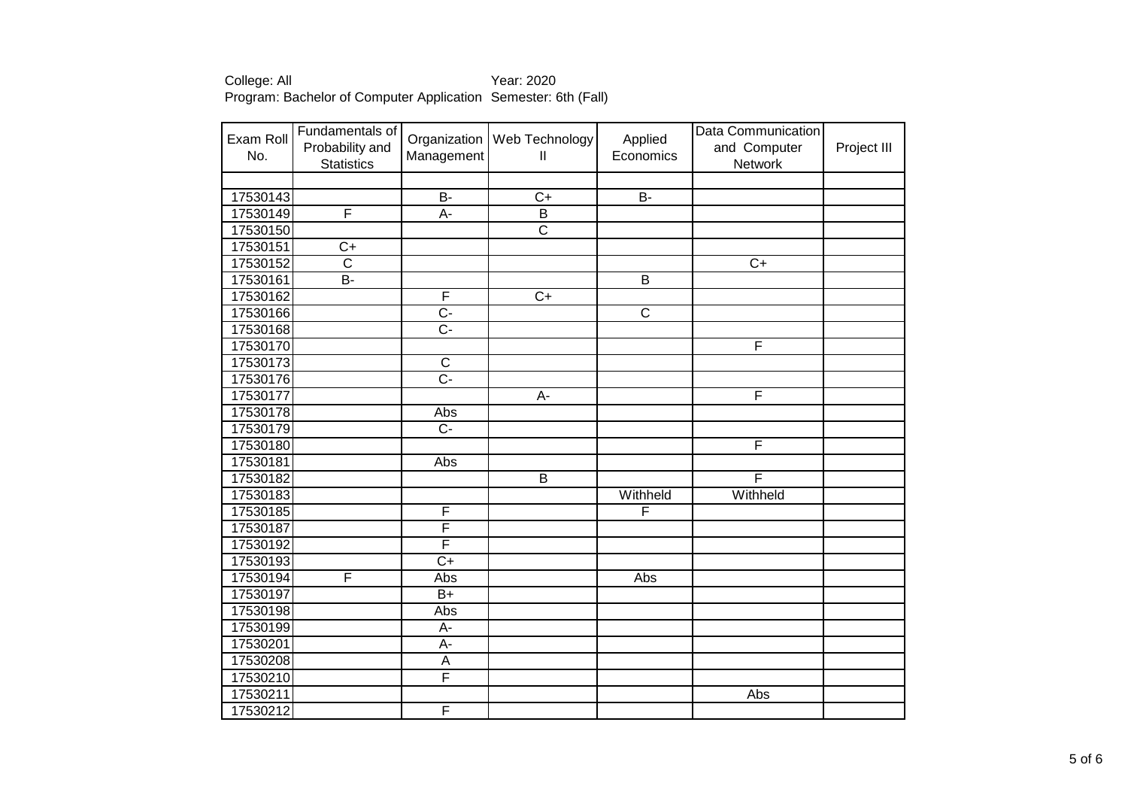| Exam Roll<br>No. | Fundamentals of<br>Probability and<br><b>Statistics</b> | Management                | Organization   Web Technology<br>$\mathsf{II}$ | Applied<br>Economics  | Data Communication<br>and Computer<br>Network | Project III |
|------------------|---------------------------------------------------------|---------------------------|------------------------------------------------|-----------------------|-----------------------------------------------|-------------|
|                  |                                                         |                           |                                                |                       |                                               |             |
| 17530143         |                                                         | $B -$                     | $C+$                                           | <b>B-</b>             |                                               |             |
| 17530149         | F                                                       | A-                        | $\overline{B}$                                 |                       |                                               |             |
| 17530150         |                                                         |                           | $\overline{\text{c}}$                          |                       |                                               |             |
| 17530151         | $\overline{C}$                                          |                           |                                                |                       |                                               |             |
| 17530152         | $\overline{\text{c}}$                                   |                           |                                                |                       | $\overline{C}$                                |             |
| 17530161         | $B -$                                                   |                           |                                                | $\overline{B}$        |                                               |             |
| 17530162         |                                                         | F                         | $\overline{C+}$                                |                       |                                               |             |
| 17530166         |                                                         | $\overline{C}$            |                                                | $\overline{\text{c}}$ |                                               |             |
| 17530168         |                                                         | $\overline{C}$            |                                                |                       |                                               |             |
| 17530170         |                                                         |                           |                                                |                       | F                                             |             |
| 17530173         |                                                         | $\overline{\mathsf{C}}$   |                                                |                       |                                               |             |
| 17530176         |                                                         | $\overline{C}$ -          |                                                |                       |                                               |             |
| 17530177         |                                                         |                           | А-                                             |                       | F                                             |             |
| 17530178         |                                                         | Abs                       |                                                |                       |                                               |             |
| 17530179         |                                                         | $\overline{C}$ -          |                                                |                       |                                               |             |
| 17530180         |                                                         |                           |                                                |                       | F                                             |             |
| 17530181         |                                                         | Abs                       |                                                |                       |                                               |             |
| 17530182         |                                                         |                           | $\overline{B}$                                 |                       | F                                             |             |
| 17530183         |                                                         |                           |                                                | Withheld              | Withheld                                      |             |
| 17530185         |                                                         | F                         |                                                | F                     |                                               |             |
| 17530187         |                                                         | F                         |                                                |                       |                                               |             |
| 17530192         |                                                         | F                         |                                                |                       |                                               |             |
| 17530193         |                                                         | $\overline{C+}$           |                                                |                       |                                               |             |
| 17530194         | F                                                       | Abs                       |                                                | Abs                   |                                               |             |
| 17530197         |                                                         | $B+$                      |                                                |                       |                                               |             |
| 17530198         |                                                         | Abs                       |                                                |                       |                                               |             |
| 17530199         |                                                         | A-                        |                                                |                       |                                               |             |
| 17530201         |                                                         | $A -$                     |                                                |                       |                                               |             |
| 17530208         |                                                         | $\boldsymbol{\mathsf{A}}$ |                                                |                       |                                               |             |
| 17530210         |                                                         | F                         |                                                |                       |                                               |             |
| 17530211         |                                                         |                           |                                                |                       | Abs                                           |             |
| 17530212         |                                                         | F                         |                                                |                       |                                               |             |